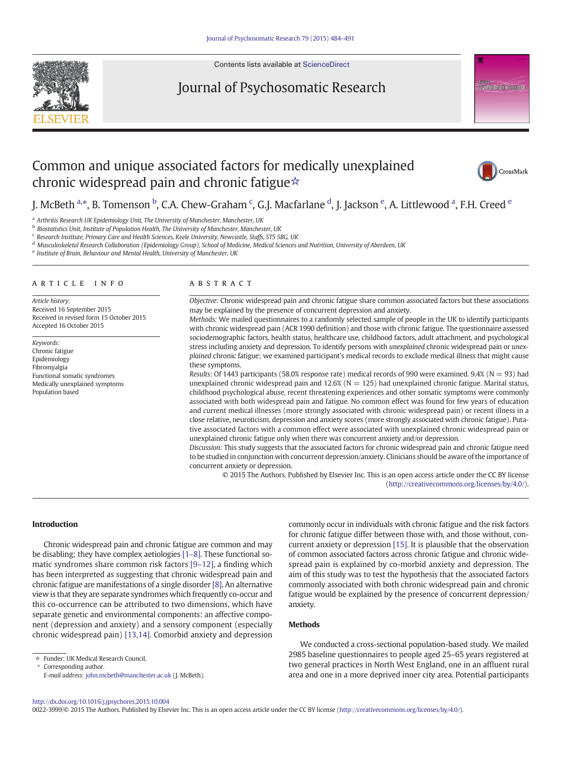

Contents lists available at [ScienceDirect](http://www.sciencedirect.com/science/journal/)

# Journal of Psychosomatic Research



# Common and unique associated factors for medically unexplained chronic widespread pain and chronic fatigue☆



J. McBeth a.\*, B. Tomenson <sup>b</sup>, C.A. Chew-Graham <sup>c</sup>, G.J. Macfarlane <sup>d</sup>, J. Jackson <sup>e</sup>, A. Littlewood <sup>a</sup>, F.H. Creed <sup>e</sup>

<sup>a</sup> Arthritis Research UK Epidemiology Unit, The University of Manchester, Manchester, UK

**b** Biostatistics Unit, Institute of Population Health, The University of Manchester, Manchester, UK

<sup>c</sup> Research Institute, Primary Care and Health Sciences, Keele University, Newcastle, Staffs, ST5 5BG, UK

<sup>d</sup> Musculoskeletal Research Collaboration (Epidemiology Group), School of Medicine, Medical Sciences and Nutrition, University of Aberdeen, UK

<sup>e</sup> Institute of Brain, Behaviour and Mental Health, University of Manchester, UK

### article info abstract

Article history: Received 16 September 2015 Received in revised form 15 October 2015 Accepted 16 October 2015

Keywords: Chronic fatigue Epidemiology Fibromyalgia Functional somatic syndromes Medically unexplained symptoms Population based

Objective: Chronic widespread pain and chronic fatigue share common associated factors but these associations may be explained by the presence of concurrent depression and anxiety.

Methods: We mailed questionnaires to a randomly selected sample of people in the UK to identify participants with chronic widespread pain (ACR 1990 definition) and those with chronic fatigue. The questionnaire assessed sociodemographic factors, health status, healthcare use, childhood factors, adult attachment, and psychological stress including anxiety and depression. To identify persons with unexplained chronic widespread pain or unexplained chronic fatigue; we examined participant's medical records to exclude medical illness that might cause these symptoms.

Results: Of 1443 participants (58.0% response rate) medical records of 990 were examined. 9.4% ( $N = 93$ ) had unexplained chronic widespread pain and  $12.6\%$  (N = 125) had unexplained chronic fatigue. Marital status, childhood psychological abuse, recent threatening experiences and other somatic symptoms were commonly associated with both widespread pain and fatigue. No common effect was found for few years of education and current medical illnesses (more strongly associated with chronic widespread pain) or recent illness in a close relative, neuroticism, depression and anxiety scores (more strongly associated with chronic fatigue). Putative associated factors with a common effect were associated with unexplained chronic widespread pain or unexplained chronic fatigue only when there was concurrent anxiety and/or depression.

Discussion: This study suggests that the associated factors for chronic widespread pain and chronic fatigue need to be studied in conjunction with concurrent depression/anxiety. Clinicians should be aware of the importance of concurrent anxiety or depression.

© 2015 The Authors. Published by Elsevier Inc. This is an open access article under the CC BY license [\(http://creativecommons.org/licenses/by/4.0/](http://creativecommons.org/licenses/by/4.0/)).

# Introduction

Chronic widespread pain and chronic fatigue are common and may be disabling; they have complex aetiologies [\[1](#page-7-0)–8]. These functional somatic syndromes share common risk factors [9–[12\]](#page-7-0), a finding which has been interpreted as suggesting that chronic widespread pain and chronic fatigue are manifestations of a single disorder [\[8\].](#page-7-0) An alternative view is that they are separate syndromes which frequently co-occur and this co-occurrence can be attributed to two dimensions, which have separate genetic and environmental components: an affective component (depression and anxiety) and a sensory component (especially chronic widespread pain) [\[13,14\].](#page-7-0) Comorbid anxiety and depression

☆ Funder: UK Medical Research Council.

⁎ Corresponding author.

commonly occur in individuals with chronic fatigue and the risk factors for chronic fatigue differ between those with, and those without, concurrent anxiety or depression [\[15\]](#page-7-0). It is plausible that the observation of common associated factors across chronic fatigue and chronic widespread pain is explained by co-morbid anxiety and depression. The aim of this study was to test the hypothesis that the associated factors commonly associated with both chronic widespread pain and chronic fatigue would be explained by the presence of concurrent depression/ anxiety.

# Methods

We conducted a cross-sectional population-based study. We mailed 2985 baseline questionnaires to people aged 25–65 years registered at two general practices in North West England, one in an affluent rural area and one in a more deprived inner city area. Potential participants

<http://dx.doi.org/10.1016/j.jpsychores.2015.10.004>

0022-3999/© 2015 The Authors. Published by Elsevier Inc. This is an open access article under the CC BY license (<http://creativecommons.org/licenses/by/4.0/>).

E-mail address: [john.mcbeth@manchester.ac.uk](mailto:john.mcbeth@manchester.ac.uk) (J. McBeth).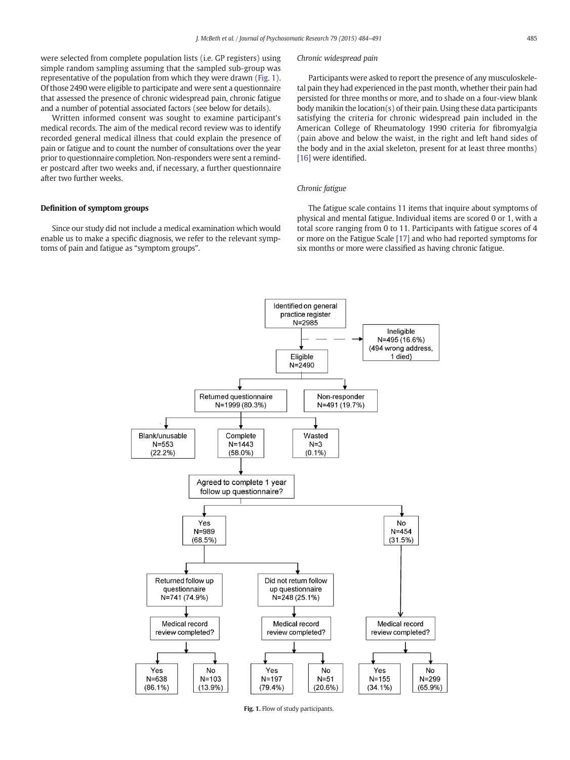<span id="page-1-0"></span>were selected from complete population lists (i.e. GP registers) using simple random sampling assuming that the sampled sub-group was representative of the population from which they were drawn (Fig. 1). Of those 2490 were eligible to participate and were sent a questionnaire that assessed the presence of chronic widespread pain, chronic fatigue and a number of potential associated factors (see below for details).

Written informed consent was sought to examine participant's medical records. The aim of the medical record review was to identify recorded general medical illness that could explain the presence of pain or fatigue and to count the number of consultations over the year prior to questionnaire completion. Non-responders were sent a reminder postcard after two weeks and, if necessary, a further questionnaire after two further weeks.

# Definition of symptom groups

Since our study did not include a medical examination which would enable us to make a specific diagnosis, we refer to the relevant symptoms of pain and fatigue as "symptom groups".

# Chronic widespread pain

Participants were asked to report the presence of any musculoskeletal pain they had experienced in the past month, whether their pain had persisted for three months or more, and to shade on a four-view blank body manikin the location(s) of their pain. Using these data participants satisfying the criteria for chronic widespread pain included in the American College of Rheumatology 1990 criteria for fibromyalgia (pain above and below the waist, in the right and left hand sides of the body and in the axial skeleton, present for at least three months) [\[16\]](#page-7-0) were identified.

# Chronic fatigue

The fatigue scale contains 11 items that inquire about symptoms of physical and mental fatigue. Individual items are scored 0 or 1, with a total score ranging from 0 to 11. Participants with fatigue scores of 4 or more on the Fatigue Scale [\[17\]](#page-7-0) and who had reported symptoms for six months or more were classified as having chronic fatigue.



Fig. 1. Flow of study participants.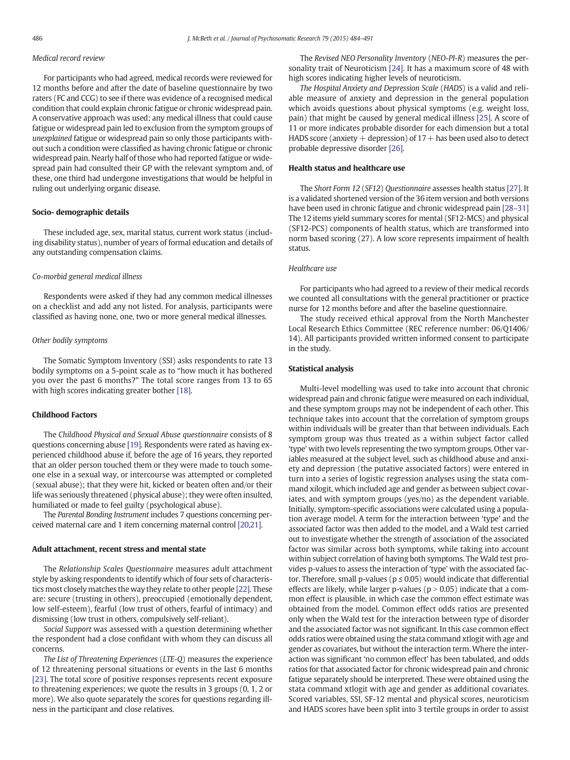# Medical record review

For participants who had agreed, medical records were reviewed for 12 months before and after the date of baseline questionnaire by two raters (FC and CCG) to see if there was evidence of a recognised medical condition that could explain chronic fatigue or chronic widespread pain. A conservative approach was used; any medical illness that could cause fatigue or widespread pain led to exclusion from the symptom groups of unexplained fatigue or widespread pain so only those participants without such a condition were classified as having chronic fatigue or chronic widespread pain. Nearly half of those who had reported fatigue or widespread pain had consulted their GP with the relevant symptom and, of these, one third had undergone investigations that would be helpful in ruling out underlying organic disease.

# Socio- demographic details

These included age, sex, marital status, current work status (including disability status), number of years of formal education and details of any outstanding compensation claims.

# Co-morbid general medical illness

Respondents were asked if they had any common medical illnesses on a checklist and add any not listed. For analysis, participants were classified as having none, one, two or more general medical illnesses.

#### Other bodily symptoms

The Somatic Symptom Inventory (SSI) asks respondents to rate 13 bodily symptoms on a 5-point scale as to "how much it has bothered you over the past 6 months?" The total score ranges from 13 to 65 with high scores indicating greater bother [\[18\]](#page-7-0).

# Childhood Factors

The Childhood Physical and Sexual Abuse questionnaire consists of 8 questions concerning abuse [\[19\]](#page-7-0). Respondents were rated as having experienced childhood abuse if, before the age of 16 years, they reported that an older person touched them or they were made to touch someone else in a sexual way, or intercourse was attempted or completed (sexual abuse); that they were hit, kicked or beaten often and/or their life was seriously threatened (physical abuse); they were often insulted, humiliated or made to feel guilty (psychological abuse).

The Parental Bonding Instrument includes 7 questions concerning perceived maternal care and 1 item concerning maternal control [\[20,21\].](#page-7-0)

# Adult attachment, recent stress and mental state

The Relationship Scales Questionnaire measures adult attachment style by asking respondents to identify which of four sets of characteristics most closely matches the way they relate to other people [\[22\]](#page-7-0). These are: secure (trusting in others), preoccupied (emotionally dependent, low self-esteem), fearful (low trust of others, fearful of intimacy) and dismissing (low trust in others, compulsively self-reliant).

Social Support was assessed with a question determining whether the respondent had a close confidant with whom they can discuss all concerns.

The List of Threatening Experiences (LTE-Q) measures the experience of 12 threatening personal situations or events in the last 6 months [\[23\]](#page-7-0). The total score of positive responses represents recent exposure to threatening experiences; we quote the results in 3 groups (0, 1, 2 or more). We also quote separately the scores for questions regarding illness in the participant and close relatives.

The Revised NEO Personality Inventory (NEO-PI-R) measures the personality trait of Neuroticism [\[24\]](#page-7-0). It has a maximum score of 48 with high scores indicating higher levels of neuroticism.

The Hospital Anxiety and Depression Scale (HADS) is a valid and reliable measure of anxiety and depression in the general population which avoids questions about physical symptoms (e.g. weight loss, pain) that might be caused by general medical illness [\[25\].](#page-7-0) A score of 11 or more indicates probable disorder for each dimension but a total HADS score (anxiety  $+$  depression) of  $17 +$  has been used also to detect probable depressive disorder [\[26\].](#page-7-0)

#### Health status and healthcare use

The Short Form 12 (SF12) Questionnaire assesses health status [\[27\]](#page-7-0). It is a validated shortened version of the 36 item version and both versions have been used in chronic fatigue and chronic widespread pain [28–[31\]](#page-7-0) The 12 items yield summary scores for mental (SF12-MCS) and physical (SF12-PCS) components of health status, which are transformed into norm based scoring (27). A low score represents impairment of health status.

# Healthcare use

For participants who had agreed to a review of their medical records we counted all consultations with the general practitioner or practice nurse for 12 months before and after the baseline questionnaire.

The study received ethical approval from the North Manchester Local Research Ethics Committee (REC reference number: 06/Q1406/ 14). All participants provided written informed consent to participate in the study.

#### Statistical analysis

Multi-level modelling was used to take into account that chronic widespread pain and chronic fatigue were measured on each individual, and these symptom groups may not be independent of each other. This technique takes into account that the correlation of symptom groups within individuals will be greater than that between individuals. Each symptom group was thus treated as a within subject factor called 'type' with two levels representing the two symptom groups. Other variables measured at the subject level, such as childhood abuse and anxiety and depression (the putative associated factors) were entered in turn into a series of logistic regression analyses using the stata command xilogit, which included age and gender as between subject covariates, and with symptom groups (yes/no) as the dependent variable. Initially, symptom-specific associations were calculated using a population average model. A term for the interaction between 'type' and the associated factor was then added to the model, and a Wald test carried out to investigate whether the strength of association of the associated factor was similar across both symptoms, while taking into account within subject correlation of having both symptoms. The Wald test provides p-values to assess the interaction of 'type' with the associated factor. Therefore, small p-values ( $p \le 0.05$ ) would indicate that differential effects are likely, while larger p-values ( $p > 0.05$ ) indicate that a common effect is plausible, in which case the common effect estimate was obtained from the model. Common effect odds ratios are presented only when the Wald test for the interaction between type of disorder and the associated factor was not significant. In this case common effect odds ratios were obtained using the stata command xtlogit with age and gender as covariates, but without the interaction term. Where the interaction was significant 'no common effect' has been tabulated, and odds ratios for that associated factor for chronic widespread pain and chronic fatigue separately should be interpreted. These were obtained using the stata command xtlogit with age and gender as additional covariates. Scored variables, SSI, SF-12 mental and physical scores, neuroticism and HADS scores have been split into 3 tertile groups in order to assist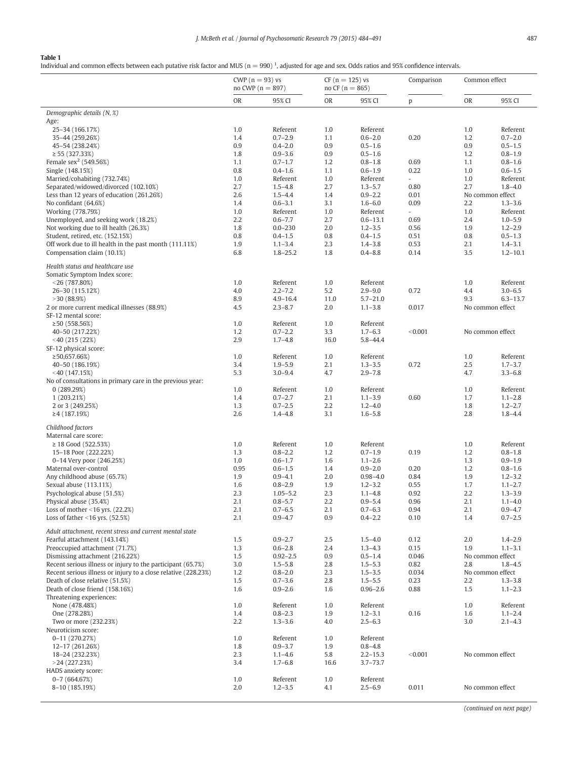# <span id="page-3-0"></span>Table 1

Individual and common effects between each putative risk factor and MUS (n = 990)<sup>1</sup>, adjusted for age and sex. Odds ratios and 95% confidence intervals.

|                                                                      | CWP $(n = 93)$ vs<br>no CWP $(n = 897)$ |                             | $CF (n = 125)$ vs<br>no CF ( $n = 865$ ) |                            | Comparison               | Common effect    |                                 |
|----------------------------------------------------------------------|-----------------------------------------|-----------------------------|------------------------------------------|----------------------------|--------------------------|------------------|---------------------------------|
|                                                                      | OR                                      | 95% CI                      | OR                                       | 95% CI                     | p                        | <b>OR</b>        | 95% CI                          |
| Demographic details (N, %)<br>Age:                                   |                                         |                             |                                          |                            |                          |                  |                                 |
| 25-34 (166.17%)                                                      | 1.0                                     | Referent                    | 1.0                                      | Referent                   |                          | 1.0              | Referent                        |
| 35-44 (259,26%)                                                      | 1.4                                     | $0.7 - 2.9$                 | 1.1                                      | $0.6 - 2.0$                | 0.20                     | 1.2              | $0.7 - 2.0$                     |
| 45-54 (238.24%)                                                      | 0.9                                     | $0.4 - 2.0$                 | 0.9                                      | $0.5 - 1.6$                |                          | 0.9              | $0.5 - 1.5$                     |
| $\geq$ 55 (327.33%)                                                  | 1.8                                     | $0.9 - 3.6$                 | 0.9                                      | $0.5 - 1.6$                |                          | 1.2              | $0.8 - 1.9$                     |
| Female $sex^2$ (549.56%)                                             | 1,1                                     | $0.7 - 1.7$                 | 1.2                                      | $0.8 - 1.8$                | 0.69                     | 1.1              | $0.8 - 1.6$                     |
| Single (148.15%)                                                     | 0.8                                     | $0.4 - 1.6$                 | 1.1                                      | $0.6 - 1.9$                | 0.22                     | 1.0              | $0.6 - 1.5$                     |
| Married/cohabiting (732.74%)<br>Separated/widowed/divorced (102.10%) | 1.0<br>2.7                              | Referent<br>$1.5 - 4.8$     | 1.0<br>2.7                               | Referent<br>$1.3 - 5.7$    | 0.80                     | 1.0<br>2.7       | Referent<br>$1.8 - 4.0$         |
| Less than 12 years of education (261.26%)                            | 2.6                                     | $1.5 - 4.4$                 | 1.4                                      | $0.9 - 2.2$                | 0.01                     |                  | No common effect                |
| No confidant (64.6%)                                                 | 1.4                                     | $0.6 - 3.1$                 | 3.1                                      | $1.6 - 6.0$                | 0.09                     | 2.2              | $1.3 - 3.6$                     |
| Working (778.79%)                                                    | 1.0                                     | Referent                    | 1.0                                      | Referent                   | $\overline{\phantom{0}}$ | 1.0              | Referent                        |
| Unemployed, and seeking work (18.2%)                                 | 2.2                                     | $0.6 - 7.7$                 | 2.7                                      | $0.6 - 13.1$               | 0.69                     | 2.4              | $1.0 - 5.9$                     |
| Not working due to ill health (26.3%)                                | 1.8                                     | $0.0 - 230$                 | 2.0                                      | $1.2 - 3.5$                | 0.56                     | 1.9              | $1.2 - 2.9$                     |
| Student, retired, etc. (152.15%)                                     | 0.8                                     | $0.4 - 1.5$                 | 0.8                                      | $0.4 - 1.5$                | 0.51                     | 0.8              | $0.5 - 1.3$                     |
| Off work due to ill health in the past month (111.11%)               | 1.9                                     | $1.1 - 3.4$                 | 2.3                                      | $1.4 - 3.8$                | 0.53                     | 2.1              | $1.4 - 3.1$                     |
| Compensation claim (10.1%)                                           | 6.8                                     | $1.8 - 25.2$                | 1.8                                      | $0.4 - 8.8$                | 0.14                     | 3.5              | $1.2 - 10.1$                    |
| Health status and healthcare use<br>Somatic Symptom Index score:     |                                         |                             |                                          |                            |                          |                  |                                 |
| $<$ 26 (787.80%)                                                     | 1.0                                     | Referent                    | 1.0                                      | Referent                   |                          | 1.0              | Referent                        |
| 26-30 (115.12%)                                                      | 4.0                                     | $2.2 - 7.2$                 | 5.2                                      | $2.9 - 9.0$                | 0.72                     | 4.4              | $3.0 - 6.5$                     |
| >30(88.9%)                                                           | 8.9                                     | $4.9 - 16.4$                | 11.0                                     | $5.7 - 21.0$               |                          | 9.3              | $6.3 - 13.7$                    |
| 2 or more current medical illnesses (88.9%)                          | 4.5                                     | $2.3 - 8.7$                 | 2.0                                      | $1.1 - 3.8$                | 0.017                    |                  | No common effect                |
| SF-12 mental score:<br>$\geq 50$ (558.56%)                           | 1.0                                     | Referent                    | 1.0                                      | Referent                   |                          |                  |                                 |
| 40-50 (217.22%)                                                      | 1.2                                     | $0.7 - 2.2$                 | 3.3                                      | $1.7 - 6.3$                | < 0.001                  |                  | No common effect                |
| $<$ 40 (215 (22%)                                                    | 2.9                                     | $1.7 - 4.8$                 | 16.0                                     | 5.8-44.4                   |                          |                  |                                 |
| SF-12 physical score:                                                |                                         |                             |                                          |                            |                          |                  |                                 |
| $\geq 50,657.66\%)$                                                  | 1.0                                     | Referent                    | 1.0                                      | Referent                   |                          | 1.0              | Referent                        |
| 40-50 (186.19%)<br>$<$ 40 (147.15%)                                  | 3.4<br>5.3                              | $1.9 - 5.9$<br>$3.0 - 9.4$  | 2.1<br>4.7                               | $1.3 - 3.5$<br>$2.9 - 7.8$ | 0.72                     | 2.5<br>4.7       | $1.7 - 3.7$<br>$3.3 - 6.8$      |
| No of consultations in primary care in the previous year:            |                                         |                             |                                          |                            |                          |                  |                                 |
| 0(289.29%)                                                           | 1.0                                     | Referent                    | 1.0                                      | Referent                   |                          | 1.0              | Referent                        |
| 1 (203.21%)                                                          | 1.4                                     | $0.7 - 2.7$                 | 2.1                                      | $1.1 - 3.9$                | 0.60                     | 1.7              | $1.1 - 2.8$                     |
| 2 or 3 (249.25%)                                                     | 1.3                                     | $0.7 - 2.5$                 | 2.2                                      | $1.2 - 4.0$                |                          | 1.8              | $1.2 - 2.7$                     |
| $\geq 4$ (187.19%)                                                   | 2.6                                     | $1.4 - 4.8$                 | 3.1                                      | $1.6 - 5.8$                |                          | 2.8              | $1.8 - 4.4$                     |
| Childhood factors                                                    |                                         |                             |                                          |                            |                          |                  |                                 |
| Maternal care score:                                                 |                                         |                             |                                          |                            |                          |                  |                                 |
| $\geq$ 18 Good (522.53%)                                             | 1.0                                     | Referent                    | 1.0                                      | Referent                   |                          | 1.0              | Referent                        |
| 15-18 Poor (222.22%)                                                 | 1.3                                     | $0.8 - 2.2$                 | 1.2                                      | $0.7 - 1.9$                | 0.19                     | 1.2              | $0.8 - 1.8$                     |
| 0-14 Very poor (246.25%)<br>Maternal over-control                    | 1.0<br>0.95                             | $0.6 - 1.7$<br>$0.6 - 1.5$  | 1.6<br>1.4                               | $1.1 - 2.6$<br>$0.9 - 2.0$ | 0.20                     | 1.3<br>1.2       | $0.9 - 1.9$<br>$0.8 - 1.6$      |
| Any childhood abuse (65.7%)                                          | 1.9                                     | $0.9 - 4.1$                 | 2.0                                      | $0.98 - 4.0$               | 0.84                     | 1.9              | $1.2 - 3.2$                     |
| Sexual abuse (113.11%)                                               | 1.6                                     | $0.8 - 2.9$                 | 1.9                                      | $1.2 - 3.2$                | 0.55                     | 1.7              | $1.1 - 2.7$                     |
| Psychological abuse (51.5%)                                          | 2.3                                     | $1.05 - 5.2$                | 2.3                                      | $1.1 - 4.8$                | 0.92                     | 2.2              | $1.3 - 3.9$                     |
| Physical abuse (35.4%)                                               | 2.1                                     | $0.8 - 5.7$                 | 2.2                                      | $0.9 - 5.4$                | 0.96                     | 2.1              | $1.1 - 4.0$                     |
| Loss of mother $\leq$ 16 yrs. (22.2%)                                | 2.1                                     | $0.7 - 6.5$                 | 2.1                                      | $0.7 - 6.3$                | 0.94                     | 2.1              | $0.9 - 4.7$                     |
| Loss of father $<$ 16 yrs. (52.5%)                                   | 2.1                                     | $0.9 - 4.7$                 | 0.9                                      | $0.4 - 2.2$                | 0.10                     | 1.4              | $0.7 - 2.5$                     |
| Adult attachment, recent stress and current mental state             |                                         |                             |                                          |                            |                          |                  |                                 |
| Fearful attachment (143.14%)                                         | 1.5<br>1.3                              | $0.9 - 2.7$                 | 2.5                                      | $1.5 - 4.0$                | 0.12                     | 2.0              | $1.4 - 2.9$                     |
| Preoccupied attachment (71.7%)<br>Dismissing attachment (216.22%)    | 1.5                                     | $0.6 - 2.8$<br>$0.92 - 2.5$ | 2.4<br>0.9                               | $1.3 - 4.3$<br>$0.5 - 1.4$ | 0.15<br>0.046            | 1.9              | $1.1 - 3.1$<br>No common effect |
| Recent serious illness or injury to the participant (65.7%)          | 3.0                                     | $1.5 - 5.8$                 | 2.8                                      | $1.5 - 5.3$                | 0.82                     | 2.8              | $1.8 - 4.5$                     |
| Recent serious illness or injury to a close relative (228.23%)       | 1.2                                     | $0.8 - 2.0$                 | 2.3                                      | $1.5 - 3.5$                | 0.034                    | No common effect |                                 |
| Death of close relative (51.5%)                                      | 1.5                                     | $0.7 - 3.6$                 | 2.8                                      | $1.5 - 5.5$                | 0.23                     | 2.2              | $1.3 - 3.8$                     |
| Death of close friend (158.16%)                                      | 1.6                                     | $0.9 - 2.6$                 | 1.6                                      | $0.96 - 2.6$               | 0.88                     | 1.5              | $1.1 - 2.3$                     |
| Threatening experiences:                                             |                                         |                             |                                          |                            |                          |                  |                                 |
| None (478.48%)                                                       | 1.0                                     | Referent                    | 1.0                                      | Referent                   |                          | 1.0              | Referent                        |
| One (278.28%)<br>Two or more (232.23%)                               | 1.4                                     | $0.8 - 2.3$                 | 1.9                                      | $1.2 - 3.1$                | 0.16                     | 1.6              | $1.1 - 2.4$                     |
| Neuroticism score:                                                   | 2.2                                     | $1.3 - 3.6$                 | 4.0                                      | $2.5 - 6.3$                |                          | 3.0              | $2.1 - 4.3$                     |
| $0-11(270.27%)$                                                      | 1.0                                     | Referent                    | 1.0                                      | Referent                   |                          |                  |                                 |
| 12-17 (261.26%)                                                      | 1.8                                     | $0.9 - 3.7$                 | 1.9                                      | $0.8 - 4.8$                |                          |                  |                                 |
| 18-24 (232.23%)                                                      | 2.3                                     | $1.1 - 4.6$                 | 5.8                                      | $2.2 - 15.3$               | < 0.001                  |                  | No common effect                |
| >24(227.23%)                                                         | 3.4                                     | $1.7 - 6.8$                 | 16.6                                     | $3.7 - 73.7$               |                          |                  |                                 |
| HADS anxiety score:                                                  |                                         |                             |                                          |                            |                          |                  |                                 |
| $0-7(664.67%)$<br>8-10 (185.19%)                                     | 1.0<br>$2.0\,$                          | Referent<br>$1.2 - 3.5$     | 1.0<br>4.1                               | Referent<br>$2.5 - 6.9$    | 0.011                    |                  | No common effect                |
|                                                                      |                                         |                             |                                          |                            |                          |                  |                                 |

(continued on next page)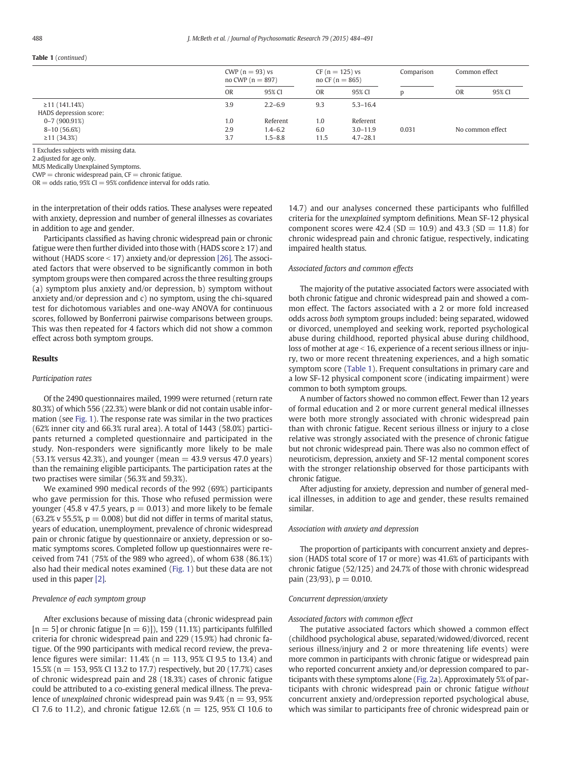#### Table 1 (continued)

|                                               |           | CWP $(n = 93)$ vs<br>no CWP $(n = 897)$ |           | $CF (n = 125)$ vs<br>no CF $(n = 865)$ | Comparison | Common effect    |        |
|-----------------------------------------------|-----------|-----------------------------------------|-----------|----------------------------------------|------------|------------------|--------|
|                                               | <b>OR</b> | 95% CI                                  | <b>OR</b> | 95% CI                                 | D          | <b>OR</b>        | 95% CI |
| $\geq$ 11 (141.14%)<br>HADS depression score: | 3.9       | $2.2 - 6.9$                             | 9.3       | $5.3 - 16.4$                           |            |                  |        |
| $0 - 7(900.91%)$                              | 1.0       | Referent                                | 1.0       | Referent                               |            |                  |        |
| $8 - 10(56.6%)$                               | 2.9       | $1.4 - 6.2$                             | 6.0       | $3.0 - 11.9$                           | 0.031      | No common effect |        |
| $\geq$ 11 (34.3%)                             | 3.7       | $1.5 - 8.8$                             | 11.5      | $4.7 - 28.1$                           |            |                  |        |

1 Excludes subjects with missing data.

2 adjusted for age only.

MUS Medically Unexplained Symptoms.

 $CWP =$  chronic widespread pain,  $CF =$  chronic fatigue.

 $OR = odds$  ratio,  $95\%$  CI =  $95\%$  confidence interval for odds ratio.

in the interpretation of their odds ratios. These analyses were repeated with anxiety, depression and number of general illnesses as covariates in addition to age and gender.

Participants classified as having chronic widespread pain or chronic fatigue were then further divided into those with (HADS score  $\geq$  17) and without (HADS score  $<$  17) anxiety and/or depression [\[26\]](#page-7-0). The associated factors that were observed to be significantly common in both symptom groups were then compared across the three resulting groups (a) symptom plus anxiety and/or depression, b) symptom without anxiety and/or depression and c) no symptom, using the chi-squared test for dichotomous variables and one-way ANOVA for continuous scores, followed by Bonferroni pairwise comparisons between groups. This was then repeated for 4 factors which did not show a common effect across both symptom groups.

# Results

#### Participation rates

Of the 2490 questionnaires mailed, 1999 were returned (return rate 80.3%) of which 556 (22.3%) were blank or did not contain usable information (see [Fig. 1\)](#page-1-0). The response rate was similar in the two practices (62% inner city and 66.3% rural area). A total of 1443 (58.0%) participants returned a completed questionnaire and participated in the study. Non-responders were significantly more likely to be male  $(53.1\%$  versus 42.3%), and younger (mean = 43.9 versus 47.0 years) than the remaining eligible participants. The participation rates at the two practises were similar (56.3% and 59.3%).

We examined 990 medical records of the 992 (69%) participants who gave permission for this. Those who refused permission were younger (45.8 v 47.5 years,  $p = 0.013$ ) and more likely to be female  $(63.2\% \text{ v } 55.5\%, \text{ p } = 0.008)$  but did not differ in terms of marital status, years of education, unemployment, prevalence of chronic widespread pain or chronic fatigue by questionnaire or anxiety, depression or somatic symptoms scores. Completed follow up questionnaires were received from 741 (75% of the 989 who agreed), of whom 638 (86.1%) also had their medical notes examined [\(Fig. 1](#page-1-0)) but these data are not used in this paper [\[2\]](#page-7-0).

### Prevalence of each symptom group

After exclusions because of missing data (chronic widespread pain  $[n = 5]$  or chronic fatigue  $[n = 6)]$ , 159 (11.1%) participants fulfilled criteria for chronic widespread pain and 229 (15.9%) had chronic fatigue. Of the 990 participants with medical record review, the prevalence figures were similar:  $11.4%$  (n = 113, 95% CI 9.5 to 13.4) and 15.5% (n = 153, 95% CI 13.2 to 17.7) respectively, but 20 (17.7%) cases of chronic widespread pain and 28 (18.3%) cases of chronic fatigue could be attributed to a co-existing general medical illness. The prevalence of *unexplained* chronic widespread pain was  $9.4\%$  (n = 93, 95%) CI 7.6 to 11.2), and chronic fatigue  $12.6\%$  (n = 125, 95% CI 10.6 to 14.7) and our analyses concerned these participants who fulfilled criteria for the unexplained symptom definitions. Mean SF-12 physical component scores were 42.4 (SD = 10.9) and 43.3 (SD = 11.8) for chronic widespread pain and chronic fatigue, respectively, indicating impaired health status.

# Associated factors and common effects

The majority of the putative associated factors were associated with both chronic fatigue and chronic widespread pain and showed a common effect. The factors associated with a 2 or more fold increased odds across both symptom groups included: being separated, widowed or divorced, unemployed and seeking work, reported psychological abuse during childhood, reported physical abuse during childhood, loss of mother at age < 16, experience of a recent serious illness or injury, two or more recent threatening experiences, and a high somatic symptom score ([Table 1](#page-3-0)). Frequent consultations in primary care and a low SF-12 physical component score (indicating impairment) were common to both symptom groups.

A number of factors showed no common effect. Fewer than 12 years of formal education and 2 or more current general medical illnesses were both more strongly associated with chronic widespread pain than with chronic fatigue. Recent serious illness or injury to a close relative was strongly associated with the presence of chronic fatigue but not chronic widespread pain. There was also no common effect of neuroticism, depression, anxiety and SF-12 mental component scores with the stronger relationship observed for those participants with chronic fatigue.

After adjusting for anxiety, depression and number of general medical illnesses, in addition to age and gender, these results remained similar.

# Association with anxiety and depression

The proportion of participants with concurrent anxiety and depression (HADS total score of 17 or more) was 41.6% of participants with chronic fatigue (52/125) and 24.7% of those with chronic widespread pain  $(23/93)$ , p = 0.010.

#### Concurrent depression/anxiety

# Associated factors with common effect

The putative associated factors which showed a common effect (childhood psychological abuse, separated/widowed/divorced, recent serious illness/injury and 2 or more threatening life events) were more common in participants with chronic fatigue or widespread pain who reported concurrent anxiety and/or depression compared to participants with these symptoms alone [\(Fig. 2](#page-6-0)a). Approximately 5% of participants with chronic widespread pain or chronic fatigue without concurrent anxiety and/ordepression reported psychological abuse, which was similar to participants free of chronic widespread pain or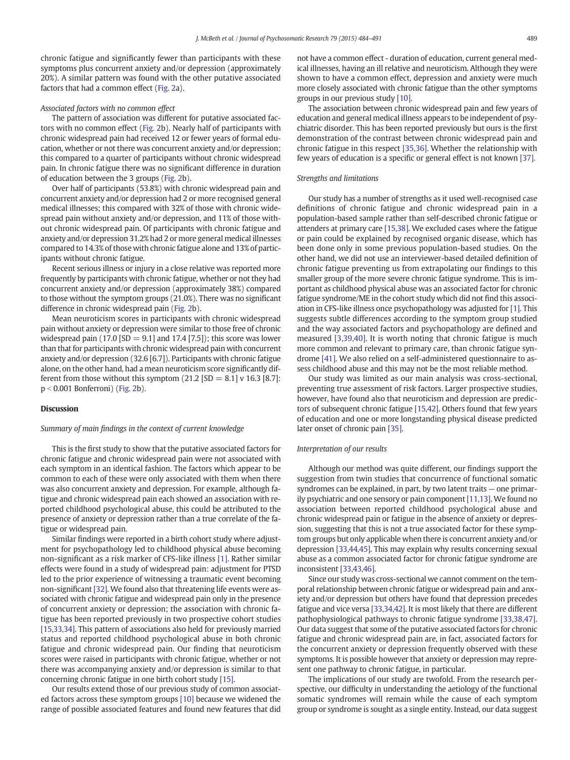chronic fatigue and significantly fewer than participants with these symptoms plus concurrent anxiety and/or depression (approximately 20%). A similar pattern was found with the other putative associated factors that had a common effect [\(Fig. 2a](#page-6-0)).

# Associated factors with no common effect

The pattern of association was different for putative associated factors with no common effect [\(Fig. 2](#page-6-0)b). Nearly half of participants with chronic widespread pain had received 12 or fewer years of formal education, whether or not there was concurrent anxiety and/or depression; this compared to a quarter of participants without chronic widespread pain. In chronic fatigue there was no significant difference in duration of education between the 3 groups ([Fig. 2](#page-6-0)b).

Over half of participants (53.8%) with chronic widespread pain and concurrent anxiety and/or depression had 2 or more recognised general medical illnesses; this compared with 32% of those with chronic widespread pain without anxiety and/or depression, and 11% of those without chronic widespread pain. Of participants with chronic fatigue and anxiety and/or depression 31.2% had 2 or more general medical illnesses compared to 14.3% of those with chronic fatigue alone and 13% of participants without chronic fatigue.

Recent serious illness or injury in a close relative was reported more frequently by participants with chronic fatigue, whether or not they had concurrent anxiety and/or depression (approximately 38%) compared to those without the symptom groups (21.0%). There was no significant difference in chronic widespread pain [\(Fig. 2b](#page-6-0)).

Mean neuroticism scores in participants with chronic widespread pain without anxiety or depression were similar to those free of chronic widespread pain (17.0  $[SD = 9.1]$  and 17.4  $[7.5]$ ); this score was lower than that for participants with chronic widespread pain with concurrent anxiety and/or depression (32.6 [6.7]). Participants with chronic fatigue alone, on the other hand, had a mean neuroticism score significantly different from those without this symptom  $(21.2 \text{ [SD = 8.1]} \text{ v } 16.3 \text{ [8.7]}$ :  $p < 0.001$  Bonferroni) [\(Fig. 2b](#page-6-0)).

#### Discussion

# Summary of main findings in the context of current knowledge

This is the first study to show that the putative associated factors for chronic fatigue and chronic widespread pain were not associated with each symptom in an identical fashion. The factors which appear to be common to each of these were only associated with them when there was also concurrent anxiety and depression. For example, although fatigue and chronic widespread pain each showed an association with reported childhood psychological abuse, this could be attributed to the presence of anxiety or depression rather than a true correlate of the fatigue or widespread pain.

Similar findings were reported in a birth cohort study where adjustment for psychopathology led to childhood physical abuse becoming non-significant as a risk marker of CFS-like illness [\[1\].](#page-7-0) Rather similar effects were found in a study of widespread pain: adjustment for PTSD led to the prior experience of witnessing a traumatic event becoming non-significant [\[32\].](#page-7-0) We found also that threatening life events were associated with chronic fatigue and widespread pain only in the presence of concurrent anxiety or depression; the association with chronic fatigue has been reported previously in two prospective cohort studies [\[15,33,34\]](#page-7-0). This pattern of associations also held for previously married status and reported childhood psychological abuse in both chronic fatigue and chronic widespread pain. Our finding that neuroticism scores were raised in participants with chronic fatigue, whether or not there was accompanying anxiety and/or depression is similar to that concerning chronic fatigue in one birth cohort study [\[15\]](#page-7-0).

Our results extend those of our previous study of common associated factors across these symptom groups [\[10\]](#page-7-0) because we widened the range of possible associated features and found new features that did not have a common effect - duration of education, current general medical illnesses, having an ill relative and neuroticism. Although they were shown to have a common effect, depression and anxiety were much more closely associated with chronic fatigue than the other symptoms groups in our previous study [\[10\]](#page-7-0).

The association between chronic widespread pain and few years of education and general medical illness appears to be independent of psychiatric disorder. This has been reported previously but ours is the first demonstration of the contrast between chronic widespread pain and chronic fatigue in this respect [\[35,36\]](#page-7-0). Whether the relationship with few years of education is a specific or general effect is not known [\[37\].](#page-7-0)

# Strengths and limitations

Our study has a number of strengths as it used well-recognised case definitions of chronic fatigue and chronic widespread pain in a population-based sample rather than self-described chronic fatigue or attenders at primary care [\[15,38\].](#page-7-0) We excluded cases where the fatigue or pain could be explained by recognised organic disease, which has been done only in some previous population-based studies. On the other hand, we did not use an interviewer-based detailed definition of chronic fatigue preventing us from extrapolating our findings to this smaller group of the more severe chronic fatigue syndrome. This is important as childhood physical abuse was an associated factor for chronic fatigue syndrome/ME in the cohort study which did not find this association in CFS-like illness once psychopathology was adjusted for [\[1\]](#page-7-0). This suggests subtle differences according to the symptom group studied and the way associated factors and psychopathology are defined and measured [\[3,39,40\]](#page-7-0). It is worth noting that chronic fatigue is much more common and relevant to primary care, than chronic fatigue syndrome [\[41\].](#page-7-0) We also relied on a self-administered questionnaire to assess childhood abuse and this may not be the most reliable method.

Our study was limited as our main analysis was cross-sectional, preventing true assessment of risk factors. Larger prospective studies, however, have found also that neuroticism and depression are predictors of subsequent chronic fatigue [\[15,42\]](#page-7-0). Others found that few years of education and one or more longstanding physical disease predicted later onset of chronic pain [\[35\].](#page-7-0)

# Interpretation of our results

Although our method was quite different, our findings support the suggestion from twin studies that concurrence of functional somatic syndromes can be explained, in part, by two latent traits — one primarily psychiatric and one sensory or pain component [\[11,13\].](#page-7-0) We found no association between reported childhood psychological abuse and chronic widespread pain or fatigue in the absence of anxiety or depression, suggesting that this is not a true associated factor for these symptom groups but only applicable when there is concurrent anxiety and/or depression [\[33,44,45\]](#page-7-0). This may explain why results concerning sexual abuse as a common associated factor for chronic fatigue syndrome are inconsistent [\[33,43,46\]](#page-7-0).

Since our study was cross-sectional we cannot comment on the temporal relationship between chronic fatigue or widespread pain and anxiety and/or depression but others have found that depression precedes fatigue and vice versa [\[33,34,42\]](#page-7-0). It is most likely that there are different pathophysiological pathways to chronic fatigue syndrome [\[33,38,47\].](#page-7-0) Our data suggest that some of the putative associated factors for chronic fatigue and chronic widespread pain are, in fact, associated factors for the concurrent anxiety or depression frequently observed with these symptoms. It is possible however that anxiety or depression may represent one pathway to chronic fatigue, in particular.

The implications of our study are twofold. From the research perspective, our difficulty in understanding the aetiology of the functional somatic syndromes will remain while the cause of each symptom group or syndrome is sought as a single entity. Instead, our data suggest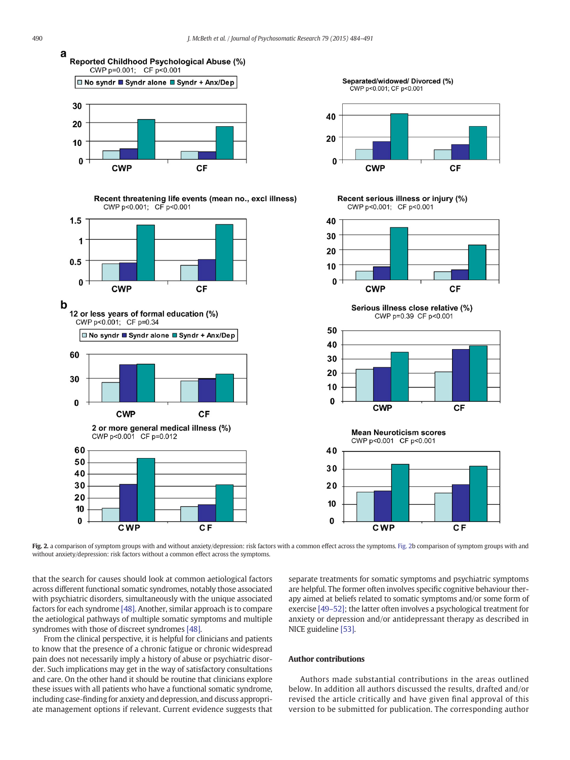<span id="page-6-0"></span>

Fig. 2. a comparison of symptom groups with and without anxiety/depression: risk factors with a common effect across the symptoms. Fig. 2b comparison of symptom groups with and without anxiety/depression: risk factors without a common effect across the symptoms.

that the search for causes should look at common aetiological factors across different functional somatic syndromes, notably those associated with psychiatric disorders, simultaneously with the unique associated factors for each syndrome [\[48\].](#page-7-0) Another, similar approach is to compare the aetiological pathways of multiple somatic symptoms and multiple syndromes with those of discreet syndromes [\[48\]](#page-7-0).

From the clinical perspective, it is helpful for clinicians and patients to know that the presence of a chronic fatigue or chronic widespread pain does not necessarily imply a history of abuse or psychiatric disorder. Such implications may get in the way of satisfactory consultations and care. On the other hand it should be routine that clinicians explore these issues with all patients who have a functional somatic syndrome, including case-finding for anxiety and depression, and discuss appropriate management options if relevant. Current evidence suggests that separate treatments for somatic symptoms and psychiatric symptoms are helpful. The former often involves specific cognitive behaviour therapy aimed at beliefs related to somatic symptoms and/or some form of exercise [\[49](#page-7-0)–52]; the latter often involves a psychological treatment for anxiety or depression and/or antidepressant therapy as described in NICE guideline [\[53\]](#page-7-0).

# Author contributions

Authors made substantial contributions in the areas outlined below. In addition all authors discussed the results, drafted and/or revised the article critically and have given final approval of this version to be submitted for publication. The corresponding author